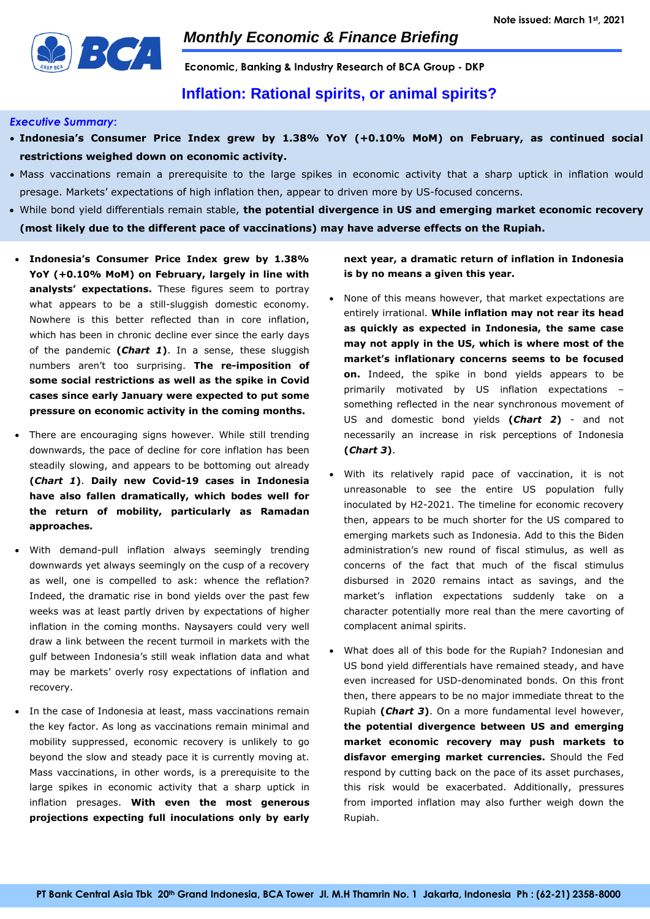

**Economic, Banking & Industry Research of BCA Group - DKP**

## **Inflation: Rational spirits, or animal spirits?**

### *Executive Summary***:**

- **Indonesia's Consumer Price Index grew by 1.38% YoY (+0.10% MoM) on February, as continued social restrictions weighed down on economic activity.**
- Mass vaccinations remain a prerequisite to the large spikes in economic activity that a sharp uptick in inflation would presage. Markets' expectations of high inflation then, appear to driven more by US-focused concerns.
- While bond yield differentials remain stable, **the potential divergence in US and emerging market economic recovery (most likely due to the different pace of vaccinations) may have adverse effects on the Rupiah.**
- **Indonesia's Consumer Price Index grew by 1.38% YoY (+0.10% MoM) on February, largely in line with**  analysts' expectations. These figures seem to portray what appears to be a still-sluggish domestic economy. Nowhere is this better reflected than in core inflation, which has been in chronic decline ever since the early days of the pandemic **(***Chart 1***)**. In a sense, these sluggish numbers aren't too surprising. **The re-imposition of some social restrictions as well as the spike in Covid cases since early January were expected to put some pressure on economic activity in the coming months.**
- There are encouraging signs however. While still trending downwards, the pace of decline for core inflation has been steadily slowing, and appears to be bottoming out already **(***Chart 1***)**. **Daily new Covid-19 cases in Indonesia have also fallen dramatically, which bodes well for the return of mobility, particularly as Ramadan approaches.**
- With demand-pull inflation always seemingly trending downwards yet always seemingly on the cusp of a recovery as well, one is compelled to ask: whence the reflation? Indeed, the dramatic rise in bond yields over the past few weeks was at least partly driven by expectations of higher inflation in the coming months. Naysayers could very well draw a link between the recent turmoil in markets with the gulf between Indonesia's still weak inflation data and what may be markets' overly rosy expectations of inflation and recovery.
- In the case of Indonesia at least, mass vaccinations remain the key factor. As long as vaccinations remain minimal and mobility suppressed, economic recovery is unlikely to go beyond the slow and steady pace it is currently moving at. Mass vaccinations, in other words, is a prerequisite to the large spikes in economic activity that a sharp uptick in inflation presages. **With even the most generous projections expecting full inoculations only by early**

**next year, a dramatic return of inflation in Indonesia is by no means a given this year.**

- None of this means however, that market expectations are entirely irrational. **While inflation may not rear its head as quickly as expected in Indonesia, the same case may not apply in the US, which is where most of the market's inflationary concerns seems to be focused on.** Indeed, the spike in bond yields appears to be primarily motivated by US inflation expectations – something reflected in the near synchronous movement of US and domestic bond yields **(***Chart 2***)** - and not necessarily an increase in risk perceptions of Indonesia **(***Chart 3***)**.
- With its relatively rapid pace of vaccination, it is not unreasonable to see the entire US population fully inoculated by H2-2021. The timeline for economic recovery then, appears to be much shorter for the US compared to emerging markets such as Indonesia. Add to this the Biden administration's new round of fiscal stimulus, as well as concerns of the fact that much of the fiscal stimulus disbursed in 2020 remains intact as savings, and the market's inflation expectations suddenly take on a character potentially more real than the mere cavorting of complacent animal spirits.
- What does all of this bode for the Rupiah? Indonesian and US bond yield differentials have remained steady, and have even increased for USD-denominated bonds. On this front then, there appears to be no major immediate threat to the Rupiah **(***Chart 3***)**. On a more fundamental level however, **the potential divergence between US and emerging market economic recovery may push markets to disfavor emerging market currencies.** Should the Fed respond by cutting back on the pace of its asset purchases, this risk would be exacerbated. Additionally, pressures from imported inflation may also further weigh down the Rupiah.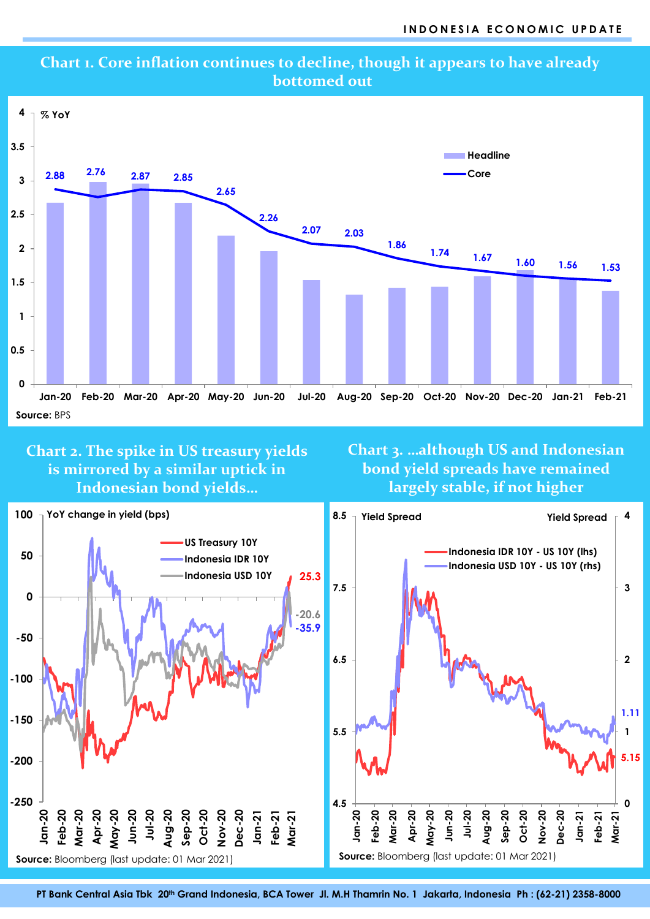

## **Chart 1. Core inflation continues to decline, though it appears to have already bottomed out**

**Chart 2. The spike in US treasury yields is mirrored by a similar uptick in Indonesian bond yields…**

**Chart 3. …although US and Indonesian bond yield spreads have remained largely stable, if not higher**



**PT Bank Central Asia Tbk 20 th Grand Indonesia, BCA Tower Jl. M.H Thamrin No. 1 Jakarta, Indonesia Ph : (62-21) 2358-8000**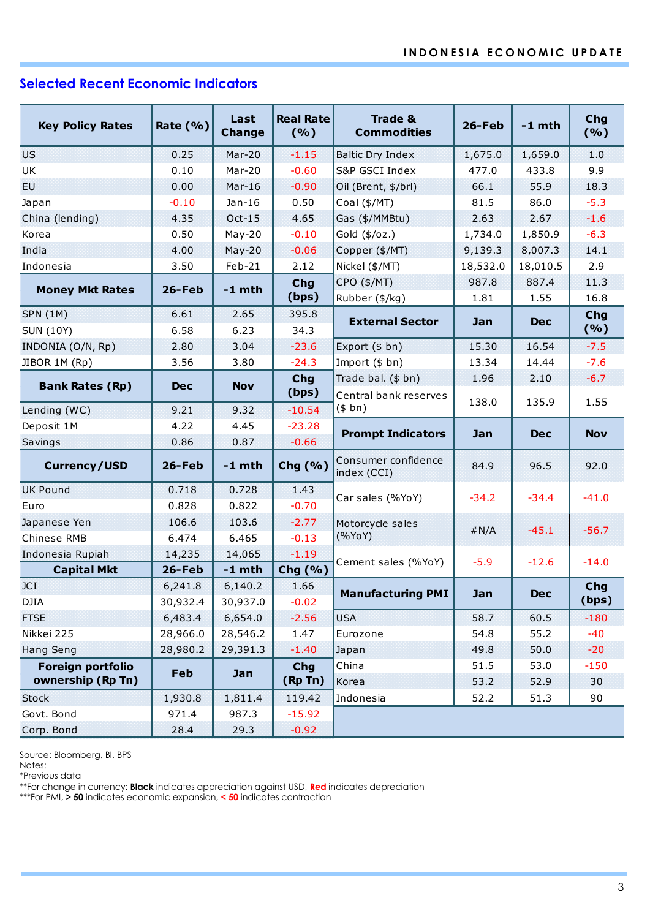# **Selected Recent Economic Indicators**

|                         |             | Last          | <b>Real Rate</b>               | <b>Trade &amp;</b>                 |           | $-1$ mth   | Chg<br>(%) |
|-------------------------|-------------|---------------|--------------------------------|------------------------------------|-----------|------------|------------|
| <b>Key Policy Rates</b> | Rate $(% )$ | <b>Change</b> | (%)                            | <b>Commodities</b>                 | $26$ -Feb |            |            |
| <b>US</b>               | 0.25        | $Mar-20$      | $-1.15$<br>Baltic Dry Index    |                                    | 1,675.0   | 1,659.0    | 1.0        |
| UK                      | 0.10        | Mar-20        | $-0.60$                        | S&P GSCI Index                     | 477.0     | 433.8      | 9.9        |
| EU.                     | 0.00        | $Mar-16$      | $-0.90$<br>Oil (Brent, \$/brl) |                                    | 66.1      | 55.9       | 18.3       |
| Japan                   | $-0.10$     | $Jan-16$      | 0.50                           | Coal (\$/MT)                       | 81.5      |            | $-5.3$     |
| China (lending)         | 4.35        | $Oct-15$      | 4.65                           | Gas (\$/MMBtu)                     | 2.63      | 2.67       | $-1.6$     |
| Korea                   | 0.50        | $May-20$      | $-0.10$                        | Gold (\$/oz.)                      | 1,734.0   | 1,850.9    | $-6.3$     |
| India                   | 4.00        | $May-20$      | $-0.06$                        | Copper (\$/MT)                     | 9,139.3   | 8,007.3    | 14.1       |
| Indonesia               | 3.50        | $Feb-21$      | 2.12                           | Nickel (\$/MT)                     | 18,532.0  | 18,010.5   | 2.9        |
|                         | 26-Feb      | $-1$ mth      | <b>Chg</b>                     | CPO (\$/MT)                        | 987.8     | 887.4      | 11.3       |
| <b>Money Mkt Rates</b>  |             |               | (bps)                          | Rubber (\$/kg)                     | 1.81      | 1.55       | 16.8       |
| <b>SPN (1M)</b>         | 6.61        | 2.65          | 395.8                          | <b>External Sector</b>             | Jan       | <b>Dec</b> | Chg        |
| <b>SUN (10Y)</b>        | 6.58        | 6.23          | 34.3                           |                                    |           |            | (%)        |
| INDONIA (O/N, Rp)       | 2.80        | 3.04          | $-23.6$                        | Export (\$ bn)                     | 15.30     | 16.54      | $-7.5$     |
| JIBOR 1M (Rp)           | 3.56        | 3.80          | $-24.3$                        | Import (\$ bn)                     | 13.34     | 14.44      | $-7.6$     |
| <b>Bank Rates (Rp)</b>  | <b>Dec</b>  | <b>Nov</b>    | Chg                            | Trade bal. (\$ bn)                 | 1.96      | 2.10       | $-6.7$     |
|                         |             |               | (bps)                          | Central bank reserves              | 138.0     | 135.9      | 1.55       |
| Lending (WC)            | 9.21        | 9.32          | $-10.54$                       | (\$bn)                             |           |            |            |
| Deposit 1M              | 4.22        | 4.45          | $-23.28$                       | <b>Prompt Indicators</b>           | Jan       | <b>Dec</b> | <b>Nov</b> |
| Savings                 | 0.86        | 0.87          | $-0.66$                        |                                    |           |            |            |
| <b>Currency/USD</b>     | 26-Feb      | $-1$ mth      | Chg (%)                        | Consumer confidence<br>index (CCI) | 84.9      | 96.5       | 92.0       |
| <b>UK Pound</b>         | 0.718       | 0.728         | 1.43                           | Car sales (%YoY)                   | $-34.2$   | $-34.4$    | $-41.0$    |
| Euro                    | 0.828       | 0.822         | $-0.70$                        |                                    |           |            |            |
| Japanese Yen            | 106.6       | 103.6         | $-2.77$                        | Motorcycle sales                   | #N/A      | $-45.1$    | $-56.7$    |
| Chinese RMB             | 6.474       | 6.465         | $-0.13$                        | (%YoY)                             |           |            |            |
| Indonesia Rupiah        | 14,235      | 14,065        | $-1.19$                        | Cement sales (%YoY)                | $-5.9$    | $-12.6$    | $-14.0$    |
| <b>Capital Mkt</b>      | 26-Feb      | $-1$ mth      | Chg (%)                        |                                    |           |            |            |
| JCI                     | 6,241.8     | 6,140.2       | 1.66                           | <b>Manufacturing PMI</b>           | Jan       | <b>Dec</b> | <b>Chg</b> |
| DJIA                    | 30,932.4    | 30,937.0      | $-0.02$                        |                                    |           |            | (bps)      |
| <b>FTSE</b>             | 6,483.4     | 6,654.0       | $-2.56$                        | <b>USA</b>                         | 58.7      | 60.5       | $-180$     |
| Nikkei 225              | 28,966.0    | 28,546.2      | 1.47                           | Eurozone                           | 54.8      | 55.2       | $-40$      |
| <b>Hang Seng</b>        | 28,980.2    | 29,391.3      | $-1.40$                        | Japan                              |           | 50.0       | $-20$      |
| Foreign portfolio       | Feb         | Jan           | <b>Chg</b>                     | China                              | 51.5      | 53.0       | $-150$     |
| ownership (Rp Tn)       |             |               | (Rp Tn)                        | Korea                              | 53.2      | 52.9       | 30         |
| <b>Stock</b>            | 1,930.8     | 1,811.4       | 119.42                         | Indonesia                          | 52.2      | 51.3       | 90         |
| Govt. Bond              | 971.4       | 987.3         | $-15.92$                       |                                    |           |            |            |
| Corp. Bond              | 28.4        | 29.3          | $-0.92$                        |                                    |           |            |            |

Source: Bloomberg, BI, BPS

Notes:

\*Previous data

\*\*For change in currency: **Black** indicates appreciation against USD, **Red** indicates depreciation

\*\*\*For PMI, **> 50** indicates economic expansion, **< 50** indicates contraction